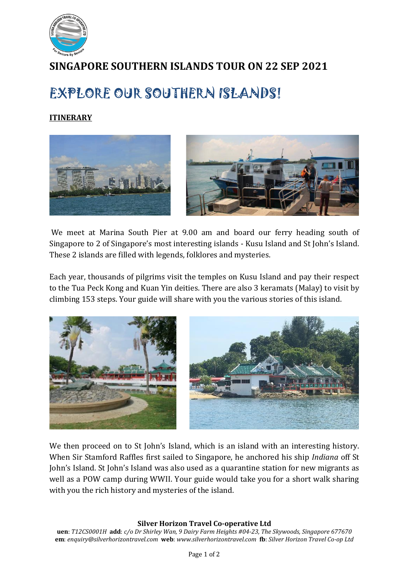

## **SINGAPORE SOUTHERN ISLANDS TOUR ON 22 SEP 2021**

## EXPLORE OUR SOUTHERN ISLANDS!

## **ITINERARY**



We meet at Marina South Pier at 9.00 am and board our ferry heading south of Singapore to 2 of Singapore's most interesting islands - Kusu Island and St John's Island. These 2 islands are filled with legends, folklores and mysteries.

Each year, thousands of pilgrims visit the temples on Kusu Island and pay their respect to the Tua Peck Kong and Kuan Yin deities. There are also 3 keramats (Malay) to visit by climbing 153 steps. Your guide will share with you the various stories of this island.



We then proceed on to St John's Island, which is an island with an interesting history. When Sir Stamford Raffles first sailed to Singapore, he anchored his ship *Indiana* off St John's Island. St John's Island was also used as a quarantine station for new migrants as well as a POW camp during WWII. Your guide would take you for a short walk sharing with you the rich history and mysteries of the island.

## **Silver Horizon Travel Co-operative Ltd**

**uen**: *T12CS0001H* **add**: *c/o Dr Shirley Wan, 9 Dairy Farm Heights #04-23, The Skywoods, Singapore 677670* **em**: *enquiry@silverhorizontravel.com* **web**: *www.silverhorizontravel.com* **fb**: *Silver Horizon Travel Co-op Ltd*